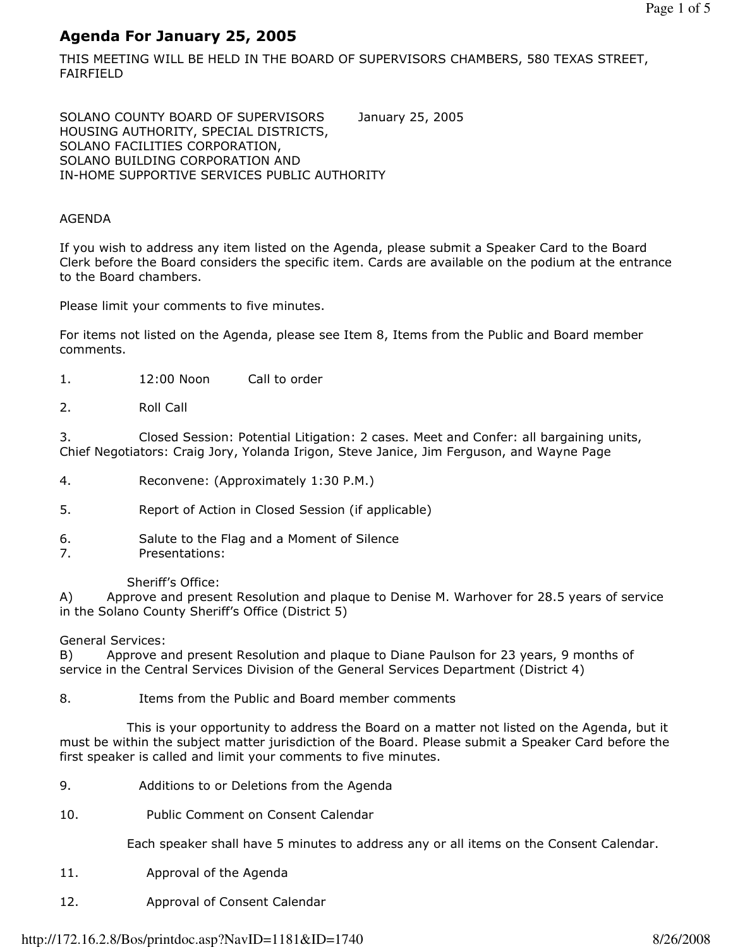# Agenda For January 25, 2005

THIS MEETING WILL BE HELD IN THE BOARD OF SUPERVISORS CHAMBERS, 580 TEXAS STREET, FAIRFIELD

SOLANO COUNTY BOARD OF SUPERVISORS January 25, 2005 HOUSING AUTHORITY, SPECIAL DISTRICTS, SOLANO FACILITIES CORPORATION, SOLANO BUILDING CORPORATION AND IN-HOME SUPPORTIVE SERVICES PUBLIC AUTHORITY

#### AGENDA

If you wish to address any item listed on the Agenda, please submit a Speaker Card to the Board Clerk before the Board considers the specific item. Cards are available on the podium at the entrance to the Board chambers.

Please limit your comments to five minutes.

For items not listed on the Agenda, please see Item 8, Items from the Public and Board member comments.

- 1. 12:00 Noon Call to order
- 2. Roll Call

3. Closed Session: Potential Litigation: 2 cases. Meet and Confer: all bargaining units, Chief Negotiators: Craig Jory, Yolanda Irigon, Steve Janice, Jim Ferguson, and Wayne Page

- 4. Reconvene: (Approximately 1:30 P.M.)
- 5. Report of Action in Closed Session (if applicable)
- 6. Salute to the Flag and a Moment of Silence
- 7. Presentations:

#### Sheriff's Office:

A) Approve and present Resolution and plaque to Denise M. Warhover for 28.5 years of service in the Solano County Sheriff's Office (District 5)

#### General Services:

B) Approve and present Resolution and plaque to Diane Paulson for 23 years, 9 months of service in the Central Services Division of the General Services Department (District 4)

8. Items from the Public and Board member comments

 This is your opportunity to address the Board on a matter not listed on the Agenda, but it must be within the subject matter jurisdiction of the Board. Please submit a Speaker Card before the first speaker is called and limit your comments to five minutes.

- 9. Additions to or Deletions from the Agenda
- 10. Public Comment on Consent Calendar

Each speaker shall have 5 minutes to address any or all items on the Consent Calendar.

- 11. Approval of the Agenda
- 12. Approval of Consent Calendar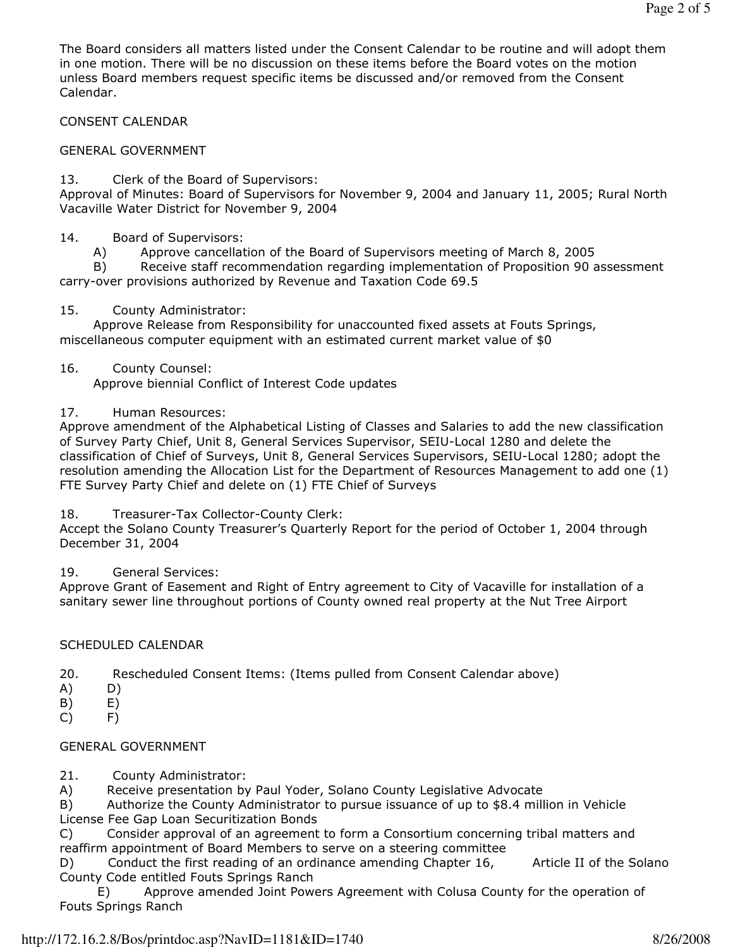The Board considers all matters listed under the Consent Calendar to be routine and will adopt them in one motion. There will be no discussion on these items before the Board votes on the motion unless Board members request specific items be discussed and/or removed from the Consent Calendar.

CONSENT CALENDAR

## GENERAL GOVERNMENT

13. Clerk of the Board of Supervisors:

Approval of Minutes: Board of Supervisors for November 9, 2004 and January 11, 2005; Rural North Vacaville Water District for November 9, 2004

#### 14. Board of Supervisors:

A) Approve cancellation of the Board of Supervisors meeting of March 8, 2005

 B) Receive staff recommendation regarding implementation of Proposition 90 assessment carry-over provisions authorized by Revenue and Taxation Code 69.5

#### 15. County Administrator:

 Approve Release from Responsibility for unaccounted fixed assets at Fouts Springs, miscellaneous computer equipment with an estimated current market value of \$0

## 16. County Counsel:

Approve biennial Conflict of Interest Code updates

## 17. Human Resources:

Approve amendment of the Alphabetical Listing of Classes and Salaries to add the new classification of Survey Party Chief, Unit 8, General Services Supervisor, SEIU-Local 1280 and delete the classification of Chief of Surveys, Unit 8, General Services Supervisors, SEIU-Local 1280; adopt the resolution amending the Allocation List for the Department of Resources Management to add one (1) FTE Survey Party Chief and delete on (1) FTE Chief of Surveys

#### 18. Treasurer-Tax Collector-County Clerk:

Accept the Solano County Treasurer's Quarterly Report for the period of October 1, 2004 through December 31, 2004

19. General Services:

Approve Grant of Easement and Right of Entry agreement to City of Vacaville for installation of a sanitary sewer line throughout portions of County owned real property at the Nut Tree Airport

## SCHEDULED CALENDAR

- 20. Rescheduled Consent Items: (Items pulled from Consent Calendar above)
- A) D)
- B) E)
- C) F)

## GENERAL GOVERNMENT

21. County Administrator:

A) Receive presentation by Paul Yoder, Solano County Legislative Advocate

B) Authorize the County Administrator to pursue issuance of up to \$8.4 million in Vehicle License Fee Gap Loan Securitization Bonds

C) Consider approval of an agreement to form a Consortium concerning tribal matters and reaffirm appointment of Board Members to serve on a steering committee

D) Conduct the first reading of an ordinance amending Chapter 16, Article II of the Solano County Code entitled Fouts Springs Ranch

 E) Approve amended Joint Powers Agreement with Colusa County for the operation of Fouts Springs Ranch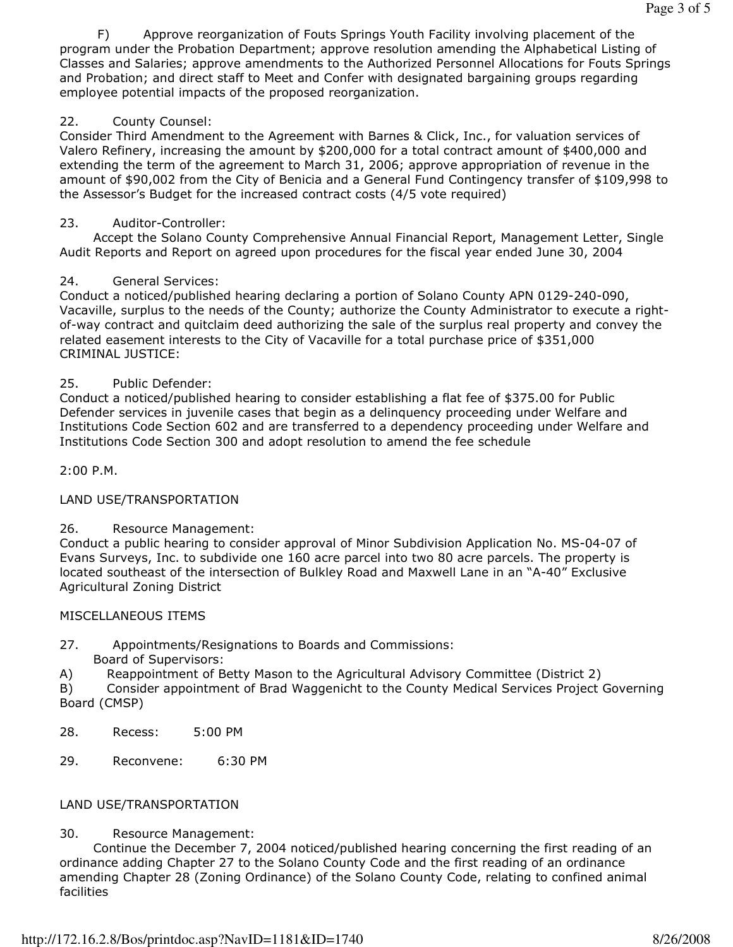F) Approve reorganization of Fouts Springs Youth Facility involving placement of the program under the Probation Department; approve resolution amending the Alphabetical Listing of Classes and Salaries; approve amendments to the Authorized Personnel Allocations for Fouts Springs and Probation; and direct staff to Meet and Confer with designated bargaining groups regarding employee potential impacts of the proposed reorganization.

## 22. County Counsel:

Consider Third Amendment to the Agreement with Barnes & Click, Inc., for valuation services of Valero Refinery, increasing the amount by \$200,000 for a total contract amount of \$400,000 and extending the term of the agreement to March 31, 2006; approve appropriation of revenue in the amount of \$90,002 from the City of Benicia and a General Fund Contingency transfer of \$109,998 to the Assessor's Budget for the increased contract costs (4/5 vote required)

## 23. Auditor-Controller:

 Accept the Solano County Comprehensive Annual Financial Report, Management Letter, Single Audit Reports and Report on agreed upon procedures for the fiscal year ended June 30, 2004

## 24. General Services:

Conduct a noticed/published hearing declaring a portion of Solano County APN 0129-240-090, Vacaville, surplus to the needs of the County; authorize the County Administrator to execute a rightof-way contract and quitclaim deed authorizing the sale of the surplus real property and convey the related easement interests to the City of Vacaville for a total purchase price of \$351,000 CRIMINAL JUSTICE:

## 25. Public Defender:

Conduct a noticed/published hearing to consider establishing a flat fee of \$375.00 for Public Defender services in juvenile cases that begin as a delinquency proceeding under Welfare and Institutions Code Section 602 and are transferred to a dependency proceeding under Welfare and Institutions Code Section 300 and adopt resolution to amend the fee schedule

2:00 P.M.

## LAND USE/TRANSPORTATION

#### 26. Resource Management:

Conduct a public hearing to consider approval of Minor Subdivision Application No. MS-04-07 of Evans Surveys, Inc. to subdivide one 160 acre parcel into two 80 acre parcels. The property is located southeast of the intersection of Bulkley Road and Maxwell Lane in an "A-40" Exclusive Agricultural Zoning District

#### MISCELLANEOUS ITEMS

27. Appointments/Resignations to Boards and Commissions: Board of Supervisors:

A) Reappointment of Betty Mason to the Agricultural Advisory Committee (District 2)

B) Consider appointment of Brad Waggenicht to the County Medical Services Project Governing Board (CMSP)

- 28. Recess: 5:00 PM
- 29. Reconvene: 6:30 PM

## LAND USE/TRANSPORTATION

#### 30. Resource Management:

 Continue the December 7, 2004 noticed/published hearing concerning the first reading of an ordinance adding Chapter 27 to the Solano County Code and the first reading of an ordinance amending Chapter 28 (Zoning Ordinance) of the Solano County Code, relating to confined animal facilities